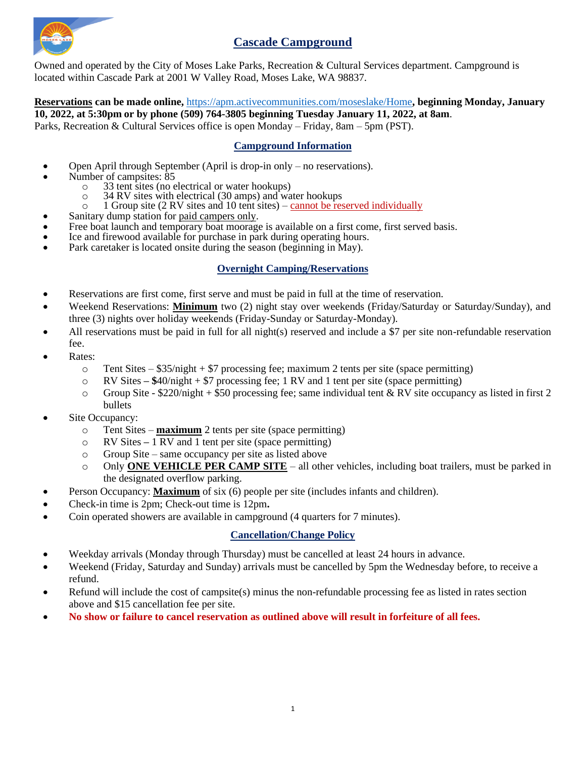

# **Cascade Campground**

Owned and operated by the City of Moses Lake Parks, Recreation & Cultural Services department. Campground is located within Cascade Park at 2001 W Valley Road, Moses Lake, WA 98837.

**Reservations can be made online,** <https://apm.activecommunities.com/moseslake/Home>**, beginning Monday, January 10, 2022, at 5:30pm or by phone (509) 764-3805 beginning Tuesday January 11, 2022, at 8am**. Parks, Recreation & Cultural Services office is open Monday – Friday, 8am – 5pm (PST).

## **Campground Information**

- Open April through September (April is drop-in only no reservations).
- Number of campsites: 85
	- o 33 tent sites (no electrical or water hookups)
	- o 34 RV sites with electrical (30 amps) and water hookups
	- $\circ$  1 Group site (2 RV sites and 10 tent sites) cannot be reserved individually
	- Sanitary dump station for paid campers only.
- Free boat launch and temporary boat moorage is available on a first come, first served basis.
- Ice and firewood available for purchase in park during operating hours.
- Park caretaker is located onsite during the season (beginning in May).

## **Overnight Camping/Reservations**

- Reservations are first come, first serve and must be paid in full at the time of reservation.
- Weekend Reservations: **Minimum** two (2) night stay over weekends (Friday/Saturday or Saturday/Sunday), and three (3) nights over holiday weekends (Friday-Sunday or Saturday-Monday).
- All reservations must be paid in full for all night(s) reserved and include a \$7 per site non-refundable reservation fee.
- Rates:
	- $\circ$  Tent Sites \$35/night + \$7 processing fee; maximum 2 tents per site (space permitting)
	- o RV Sites **– \$**40/night + \$7 processing fee; 1 RV and 1 tent per site (space permitting)
	- $\circ$  Group Site \$220/night + \$50 processing fee; same individual tent & RV site occupancy as listed in first 2 bullets
- Site Occupancy:
	- o Tent Sites **maximum** 2 tents per site (space permitting)
	- o RV Sites **–** 1 RV and 1 tent per site (space permitting)
	- o Group Site same occupancy per site as listed above
	- o Only **ONE VEHICLE PER CAMP SITE** all other vehicles, including boat trailers, must be parked in the designated overflow parking.
- Person Occupancy: **Maximum** of six (6) people per site (includes infants and children).
- Check-in time is 2pm; Check-out time is 12pm**.**
- Coin operated showers are available in campground (4 quarters for 7 minutes).

## **Cancellation/Change Policy**

- Weekday arrivals (Monday through Thursday) must be cancelled at least 24 hours in advance.
- Weekend (Friday, Saturday and Sunday) arrivals must be cancelled by 5pm the Wednesday before, to receive a refund.
- Refund will include the cost of campsite(s) minus the non-refundable processing fee as listed in rates section above and \$15 cancellation fee per site.
- **No show or failure to cancel reservation as outlined above will result in forfeiture of all fees.**